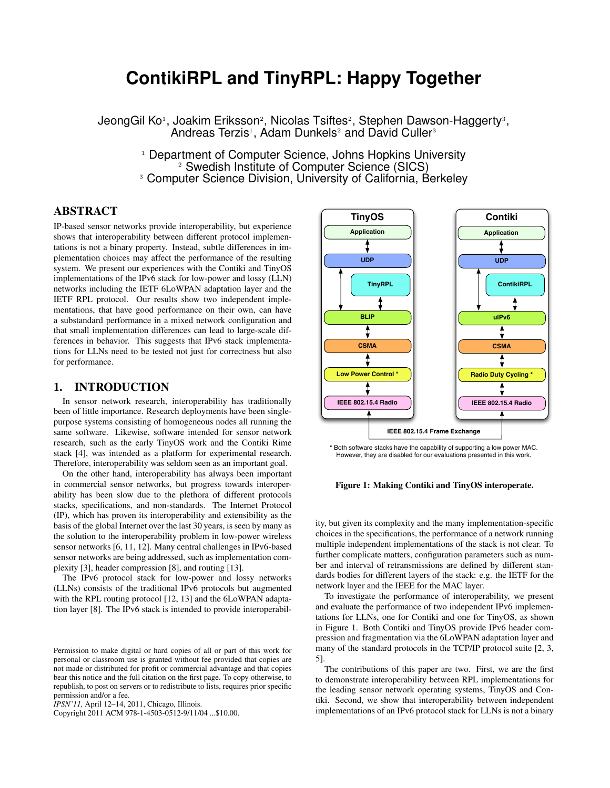# **ContikiRPL and TinyRPL: Happy Together**

JeongGil Ko1, Joakim Eriksson<sup>2</sup>, Nicolas Tsiftes<sup>2</sup>, Stephen Dawson-Haggerty<sup>3</sup>, Andreas Terzis<sup>1</sup>, Adam Dunkels<sup>2</sup> and David Culler<sup>3</sup>

> <sup>1</sup> Department of Computer Science, Johns Hopkins University <sup>2</sup> Swedish Institute of Computer Science (SICS) <sup>3</sup> Computer Science Division, University of California, Berkeley

# ABSTRACT

IP-based sensor networks provide interoperability, but experience shows that interoperability between different protocol implementations is not a binary property. Instead, subtle differences in implementation choices may affect the performance of the resulting system. We present our experiences with the Contiki and TinyOS implementations of the IPv6 stack for low-power and lossy (LLN) networks including the IETF 6LoWPAN adaptation layer and the IETF RPL protocol. Our results show two independent implementations, that have good performance on their own, can have a substandard performance in a mixed network configuration and that small implementation differences can lead to large-scale differences in behavior. This suggests that IPv6 stack implementations for LLNs need to be tested not just for correctness but also for performance.

#### 1. INTRODUCTION

In sensor network research, interoperability has traditionally been of little importance. Research deployments have been singlepurpose systems consisting of homogeneous nodes all running the same software. Likewise, software intended for sensor network research, such as the early TinyOS work and the Contiki Rime stack [4], was intended as a platform for experimental research. Therefore, interoperability was seldom seen as an important goal.

On the other hand, interoperability has always been important in commercial sensor networks, but progress towards interoperability has been slow due to the plethora of different protocols stacks, specifications, and non-standards. The Internet Protocol (IP), which has proven its interoperability and extensibility as the basis of the global Internet over the last 30 years, is seen by many as the solution to the interoperability problem in low-power wireless sensor networks [6, 11, 12]. Many central challenges in IPv6-based sensor networks are being addressed, such as implementation complexity [3], header compression [8], and routing [13].

The IPv6 protocol stack for low-power and lossy networks (LLNs) consists of the traditional IPv6 protocols but augmented with the RPL routing protocol [12, 13] and the 6LoWPAN adaptation layer [8]. The IPv6 stack is intended to provide interoperabil-

Copyright 2011 ACM 978-1-4503-0512-9/11/04 ...\$10.00.



**\*** Both software stacks have the capability of supporting a low power MAC. However, they are disabled for our evaluations presented in this work.

Figure 1: Making Contiki and TinyOS interoperate.

ity, but given its complexity and the many implementation-specific choices in the specifications, the performance of a network running multiple independent implementations of the stack is not clear. To further complicate matters, configuration parameters such as number and interval of retransmissions are defined by different standards bodies for different layers of the stack: e.g. the IETF for the network layer and the IEEE for the MAC layer.

To investigate the performance of interoperability, we present and evaluate the performance of two independent IPv6 implementations for LLNs, one for Contiki and one for TinyOS, as shown in Figure 1. Both Contiki and TinyOS provide IPv6 header compression and fragmentation via the 6LoWPAN adaptation layer and many of the standard protocols in the TCP/IP protocol suite [2, 3, 5].

The contributions of this paper are two. First, we are the first to demonstrate interoperability between RPL implementations for the leading sensor network operating systems, TinyOS and Contiki. Second, we show that interoperability between independent implementations of an IPv6 protocol stack for LLNs is not a binary

Permission to make digital or hard copies of all or part of this work for personal or classroom use is granted without fee provided that copies are not made or distributed for profit or commercial advantage and that copies bear this notice and the full citation on the first page. To copy otherwise, to republish, to post on servers or to redistribute to lists, requires prior specific permission and/or a fee.

*IPSN'11,* April 12–14, 2011, Chicago, Illinois.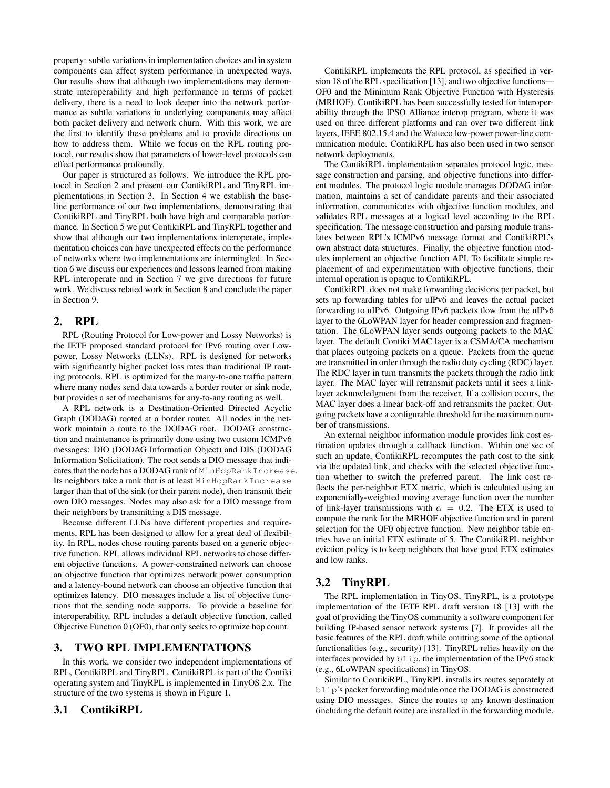property: subtle variations in implementation choices and in system components can affect system performance in unexpected ways. Our results show that although two implementations may demonstrate interoperability and high performance in terms of packet delivery, there is a need to look deeper into the network performance as subtle variations in underlying components may affect both packet delivery and network churn. With this work, we are the first to identify these problems and to provide directions on how to address them. While we focus on the RPL routing protocol, our results show that parameters of lower-level protocols can effect performance profoundly.

Our paper is structured as follows. We introduce the RPL protocol in Section 2 and present our ContikiRPL and TinyRPL implementations in Section 3. In Section 4 we establish the baseline performance of our two implementations, demonstrating that ContikiRPL and TinyRPL both have high and comparable performance. In Section 5 we put ContikiRPL and TinyRPL together and show that although our two implementations interoperate, implementation choices can have unexpected effects on the performance of networks where two implementations are intermingled. In Section 6 we discuss our experiences and lessons learned from making RPL interoperate and in Section 7 we give directions for future work. We discuss related work in Section 8 and conclude the paper in Section 9.

#### 2. RPL

RPL (Routing Protocol for Low-power and Lossy Networks) is the IETF proposed standard protocol for IPv6 routing over Lowpower, Lossy Networks (LLNs). RPL is designed for networks with significantly higher packet loss rates than traditional IP routing protocols. RPL is optimized for the many-to-one traffic pattern where many nodes send data towards a border router or sink node, but provides a set of mechanisms for any-to-any routing as well.

A RPL network is a Destination-Oriented Directed Acyclic Graph (DODAG) rooted at a border router. All nodes in the network maintain a route to the DODAG root. DODAG construction and maintenance is primarily done using two custom ICMPv6 messages: DIO (DODAG Information Object) and DIS (DODAG Information Solicitation). The root sends a DIO message that indicates that the node has a DODAG rank of MinHopRankIncrease. Its neighbors take a rank that is at least MinHopRankIncrease larger than that of the sink (or their parent node), then transmit their own DIO messages. Nodes may also ask for a DIO message from their neighbors by transmitting a DIS message.

Because different LLNs have different properties and requirements, RPL has been designed to allow for a great deal of flexibility. In RPL, nodes chose routing parents based on a generic objective function. RPL allows individual RPL networks to chose different objective functions. A power-constrained network can choose an objective function that optimizes network power consumption and a latency-bound network can choose an objective function that optimizes latency. DIO messages include a list of objective functions that the sending node supports. To provide a baseline for interoperability, RPL includes a default objective function, called Objective Function 0 (OF0), that only seeks to optimize hop count.

# 3. TWO RPL IMPLEMENTATIONS

In this work, we consider two independent implementations of RPL, ContikiRPL and TinyRPL. ContikiRPL is part of the Contiki operating system and TinyRPL is implemented in TinyOS 2.x. The structure of the two systems is shown in Figure 1.

#### 3.1 ContikiRPL

ContikiRPL implements the RPL protocol, as specified in version 18 of the RPL specification [13], and two objective functions— OF0 and the Minimum Rank Objective Function with Hysteresis (MRHOF). ContikiRPL has been successfully tested for interoperability through the IPSO Alliance interop program, where it was used on three different platforms and ran over two different link layers, IEEE 802.15.4 and the Watteco low-power power-line communication module. ContikiRPL has also been used in two sensor network deployments.

The ContikiRPL implementation separates protocol logic, message construction and parsing, and objective functions into different modules. The protocol logic module manages DODAG information, maintains a set of candidate parents and their associated information, communicates with objective function modules, and validates RPL messages at a logical level according to the RPL specification. The message construction and parsing module translates between RPL's ICMPv6 message format and ContikiRPL's own abstract data structures. Finally, the objective function modules implement an objective function API. To facilitate simple replacement of and experimentation with objective functions, their internal operation is opaque to ContikiRPL.

ContikiRPL does not make forwarding decisions per packet, but sets up forwarding tables for uIPv6 and leaves the actual packet forwarding to uIPv6. Outgoing IPv6 packets flow from the uIPv6 layer to the 6LoWPAN layer for header compression and fragmentation. The 6LoWPAN layer sends outgoing packets to the MAC layer. The default Contiki MAC layer is a CSMA/CA mechanism that places outgoing packets on a queue. Packets from the queue are transmitted in order through the radio duty cycling (RDC) layer. The RDC layer in turn transmits the packets through the radio link layer. The MAC layer will retransmit packets until it sees a linklayer acknowledgment from the receiver. If a collision occurs, the MAC layer does a linear back-off and retransmits the packet. Outgoing packets have a configurable threshold for the maximum number of transmissions.

An external neighbor information module provides link cost estimation updates through a callback function. Within one sec of such an update, ContikiRPL recomputes the path cost to the sink via the updated link, and checks with the selected objective function whether to switch the preferred parent. The link cost reflects the per-neighbor ETX metric, which is calculated using an exponentially-weighted moving average function over the number of link-layer transmissions with  $\alpha = 0.2$ . The ETX is used to compute the rank for the MRHOF objective function and in parent selection for the OF0 objective function. New neighbor table entries have an initial ETX estimate of 5. The ContikiRPL neighbor eviction policy is to keep neighbors that have good ETX estimates and low ranks.

#### 3.2 TinyRPL

The RPL implementation in TinyOS, TinyRPL, is a prototype implementation of the IETF RPL draft version 18 [13] with the goal of providing the TinyOS community a software component for building IP-based sensor network systems [7]. It provides all the basic features of the RPL draft while omitting some of the optional functionalities (e.g., security) [13]. TinyRPL relies heavily on the interfaces provided by blip, the implementation of the IPv6 stack (e.g., 6LoWPAN specifications) in TinyOS.

Similar to ContikiRPL, TinyRPL installs its routes separately at blip's packet forwarding module once the DODAG is constructed using DIO messages. Since the routes to any known destination (including the default route) are installed in the forwarding module,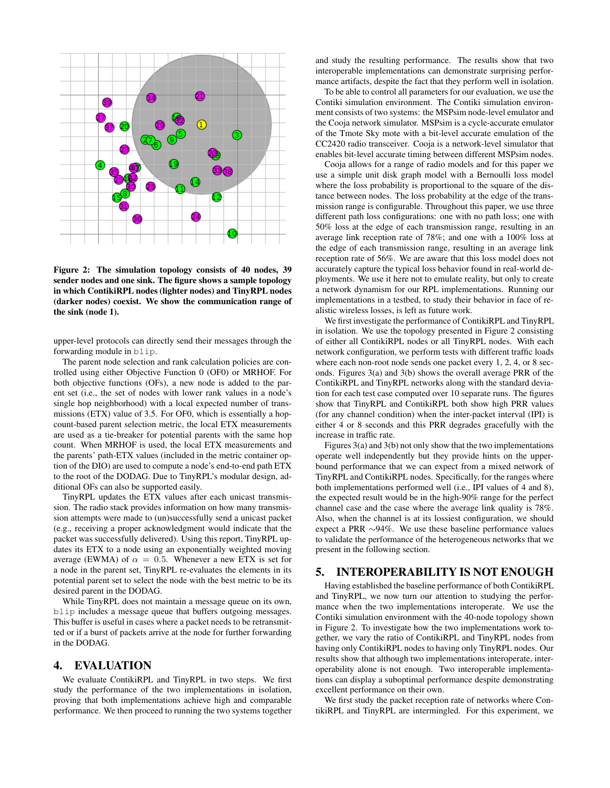

Figure 2: The simulation topology consists of 40 nodes, 39 sender nodes and one sink. The figure shows a sample topology in which ContikiRPL nodes (lighter nodes) and TinyRPL nodes (darker nodes) coexist. We show the communication range of the sink (node 1).

upper-level protocols can directly send their messages through the forwarding module in blip.

The parent node selection and rank calculation policies are controlled using either Objective Function 0 (OF0) or MRHOF. For both objective functions (OFs), a new node is added to the parent set (i.e., the set of nodes with lower rank values in a node's single hop neighborhood) with a local expected number of transmissions (ETX) value of 3.5. For OF0, which is essentially a hopcount-based parent selection metric, the local ETX measurements are used as a tie-breaker for potential parents with the same hop count. When MRHOF is used, the local ETX measurements and the parents' path-ETX values (included in the metric container option of the DIO) are used to compute a node's end-to-end path ETX to the root of the DODAG. Due to TinyRPL's modular design, additional OFs can also be supported easily.

TinyRPL updates the ETX values after each unicast transmission. The radio stack provides information on how many transmission attempts were made to (un)successfully send a unicast packet (e.g., receiving a proper acknowledgment would indicate that the packet was successfully delivered). Using this report, TinyRPL updates its ETX to a node using an exponentially weighted moving average (EWMA) of  $\alpha = 0.5$ . Whenever a new ETX is set for a node in the parent set, TinyRPL re-evaluates the elements in its potential parent set to select the node with the best metric to be its desired parent in the DODAG.

While TinyRPL does not maintain a message queue on its own, blip includes a message queue that buffers outgoing messages. This buffer is useful in cases where a packet needs to be retransmitted or if a burst of packets arrive at the node for further forwarding in the DODAG.

#### 4. EVALUATION

We evaluate ContikiRPL and TinyRPL in two steps. We first study the performance of the two implementations in isolation, proving that both implementations achieve high and comparable performance. We then proceed to running the two systems together and study the resulting performance. The results show that two interoperable implementations can demonstrate surprising performance artifacts, despite the fact that they perform well in isolation.

To be able to control all parameters for our evaluation, we use the Contiki simulation environment. The Contiki simulation environment consists of two systems: the MSPsim node-level emulator and the Cooja network simulator. MSPsim is a cycle-accurate emulator of the Tmote Sky mote with a bit-level accurate emulation of the CC2420 radio transceiver. Cooja is a network-level simulator that enables bit-level accurate timing between different MSPsim nodes.

Cooja allows for a range of radio models and for this paper we use a simple unit disk graph model with a Bernoulli loss model where the loss probability is proportional to the square of the distance between nodes. The loss probability at the edge of the transmission range is configurable. Throughout this paper, we use three different path loss configurations: one with no path loss; one with 50% loss at the edge of each transmission range, resulting in an average link reception rate of 78%; and one with a 100% loss at the edge of each transmission range, resulting in an average link reception rate of 56%. We are aware that this loss model does not accurately capture the typical loss behavior found in real-world deployments. We use it here not to emulate reality, but only to create a network dynamism for our RPL implementations. Running our implementations in a testbed, to study their behavior in face of realistic wireless losses, is left as future work.

We first investigate the performance of ContikiRPL and TinyRPL in isolation. We use the topology presented in Figure 2 consisting of either all ContikiRPL nodes or all TinyRPL nodes. With each network configuration, we perform tests with different traffic loads where each non-root node sends one packet every 1, 2, 4, or 8 seconds. Figures 3(a) and 3(b) shows the overall average PRR of the ContikiRPL and TinyRPL networks along with the standard deviation for each test case computed over 10 separate runs. The figures show that TinyRPL and ContikiRPL both show high PRR values (for any channel condition) when the inter-packet interval (IPI) is either 4 or 8 seconds and this PRR degrades gracefully with the increase in traffic rate.

Figures 3(a) and 3(b) not only show that the two implementations operate well independently but they provide hints on the upperbound performance that we can expect from a mixed network of TinyRPL and ContikiRPL nodes. Specifically, for the ranges where both implementations performed well (i.e., IPI values of 4 and 8), the expected result would be in the high-90% range for the perfect channel case and the case where the average link quality is 78%. Also, when the channel is at its lossiest configuration, we should expect a PRR ∼94%. We use these baseline performance values to validate the performance of the heterogeneous networks that we present in the following section.

# 5. INTEROPERABILITY IS NOT ENOUGH

Having established the baseline performance of both ContikiRPL and TinyRPL, we now turn our attention to studying the performance when the two implementations interoperate. We use the Contiki simulation environment with the 40-node topology shown in Figure 2. To investigate how the two implementations work together, we vary the ratio of ContikiRPL and TinyRPL nodes from having only ContikiRPL nodes to having only TinyRPL nodes. Our results show that although two implementations interoperate, interoperability alone is not enough. Two interoperable implementations can display a suboptimal performance despite demonstrating excellent performance on their own.

We first study the packet reception rate of networks where ContikiRPL and TinyRPL are intermingled. For this experiment, we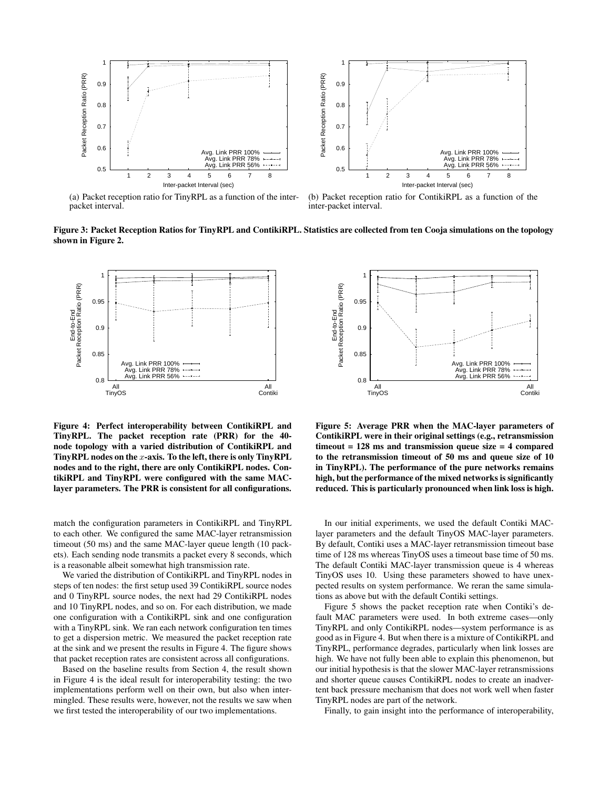



(a) Packet reception ratio for TinyRPL as a function of the interpacket interval.

(b) Packet reception ratio for ContikiRPL as a function of the inter-packet interval.

Figure 3: Packet Reception Ratios for TinyRPL and ContikiRPL. Statistics are collected from ten Cooja simulations on the topology shown in Figure 2.



Figure 4: Perfect interoperability between ContikiRPL and TinyRPL. The packet reception rate (PRR) for the 40 node topology with a varied distribution of ContikiRPL and TinyRPL nodes on the  $x$ -axis. To the left, there is only  $T$ inyRPL nodes and to the right, there are only ContikiRPL nodes. ContikiRPL and TinyRPL were configured with the same MAClayer parameters. The PRR is consistent for all configurations.

match the configuration parameters in ContikiRPL and TinyRPL to each other. We configured the same MAC-layer retransmission timeout (50 ms) and the same MAC-layer queue length (10 packets). Each sending node transmits a packet every 8 seconds, which is a reasonable albeit somewhat high transmission rate.

We varied the distribution of ContikiRPL and TinyRPL nodes in steps of ten nodes: the first setup used 39 ContikiRPL source nodes and 0 TinyRPL source nodes, the next had 29 ContikiRPL nodes and 10 TinyRPL nodes, and so on. For each distribution, we made one configuration with a ContikiRPL sink and one configuration with a TinyRPL sink. We ran each network configuration ten times to get a dispersion metric. We measured the packet reception rate at the sink and we present the results in Figure 4. The figure shows that packet reception rates are consistent across all configurations. By Figure 4: Perfect interoperability between ContikiRPL and Figure 5: Avera<br>
TrayABL The packet reception rate (PRR) for the 40-<br>
TimyRPL. The packet reception rate (PRR) for the 40-<br>
TimyRPL nodes on the *x*-axis. To th

Based on the baseline results from Section 4, the result shown in Figure 4 is the ideal result for interoperability testing: the two implementations perform well on their own, but also when intermingled. These results were, however, not the results we saw when



Figure 5: Average PRR when the MAC-layer parameters of ContikiRPL were in their original settings (e.g., retransmission timeout  $= 128$  ms and transmission queue size  $= 4$  compared to the retransmission timeout of 50 ms and queue size of 10 in TinyRPL). The performance of the pure networks remains high, but the performance of the mixed networks is significantly reduced. This is particularly pronounced when link loss is high.

In our initial experiments, we used the default Contiki MAClayer parameters and the default TinyOS MAC-layer parameters. By default, Contiki uses a MAC-layer retransmission timeout base time of 128 ms whereas TinyOS uses a timeout base time of 50 ms. The default Contiki MAC-layer transmission queue is 4 whereas TinyOS uses 10. Using these parameters showed to have unexpected results on system performance. We reran the same simulations as above but with the default Contiki settings.

Figure 5 shows the packet reception rate when Contiki's default MAC parameters were used. In both extreme cases—only TinyRPL and only ContikiRPL nodes—system performance is as good as in Figure 4. But when there is a mixture of ContikiRPL and TinyRPL, performance degrades, particularly when link losses are high. We have not fully been able to explain this phenomenon, but our initial hypothesis is that the slower MAC-layer retransmissions and shorter queue causes ContikiRPL nodes to create an inadvertent back pressure mechanism that does not work well when faster TinyRPL nodes are part of the network.

Finally, to gain insight into the performance of interoperability,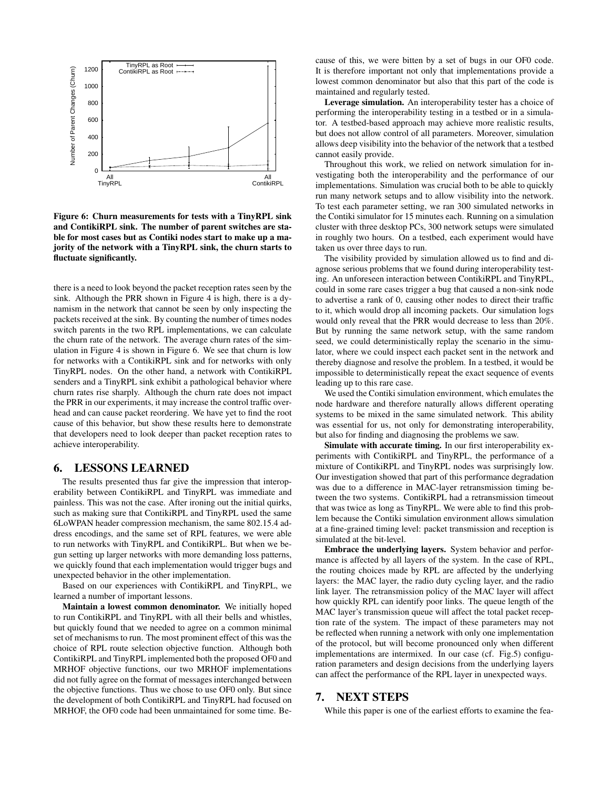

Figure 6: Churn measurements for tests with a TinyRPL sink and ContikiRPL sink. The number of parent switches are stable for most cases but as Contiki nodes start to make up a majority of the network with a TinyRPL sink, the churn starts to fluctuate significantly.

there is a need to look beyond the packet reception rates seen by the sink. Although the PRR shown in Figure 4 is high, there is a dynamism in the network that cannot be seen by only inspecting the packets received at the sink. By counting the number of times nodes switch parents in the two RPL implementations, we can calculate the churn rate of the network. The average churn rates of the simulation in Figure 4 is shown in Figure 6. We see that churn is low for networks with a ContikiRPL sink and for networks with only TinyRPL nodes. On the other hand, a network with ContikiRPL senders and a TinyRPL sink exhibit a pathological behavior where churn rates rise sharply. Although the churn rate does not impact the PRR in our experiments, it may increase the control traffic overhead and can cause packet reordering. We have yet to find the root cause of this behavior, but show these results here to demonstrate that developers need to look deeper than packet reception rates to achieve interoperability.

## 6. LESSONS LEARNED

The results presented thus far give the impression that interoperability between ContikiRPL and TinyRPL was immediate and painless. This was not the case. After ironing out the initial quirks, such as making sure that ContikiRPL and TinyRPL used the same 6LoWPAN header compression mechanism, the same 802.15.4 address encodings, and the same set of RPL features, we were able to run networks with TinyRPL and ContikiRPL. But when we begun setting up larger networks with more demanding loss patterns, we quickly found that each implementation would trigger bugs and unexpected behavior in the other implementation.

Based on our experiences with ContikiRPL and TinyRPL, we learned a number of important lessons.

Maintain a lowest common denominator. We initially hoped to run ContikiRPL and TinyRPL with all their bells and whistles, but quickly found that we needed to agree on a common minimal set of mechanisms to run. The most prominent effect of this was the choice of RPL route selection objective function. Although both ContikiRPL and TinyRPL implemented both the proposed OF0 and MRHOF objective functions, our two MRHOF implementations did not fully agree on the format of messages interchanged between the objective functions. Thus we chose to use OF0 only. But since the development of both ContikiRPL and TinyRPL had focused on MRHOF, the OF0 code had been unmaintained for some time. Because of this, we were bitten by a set of bugs in our OF0 code. It is therefore important not only that implementations provide a lowest common denominator but also that this part of the code is maintained and regularly tested.

Leverage simulation. An interoperability tester has a choice of performing the interoperability testing in a testbed or in a simulator. A testbed-based approach may achieve more realistic results, but does not allow control of all parameters. Moreover, simulation allows deep visibility into the behavior of the network that a testbed cannot easily provide.

Throughout this work, we relied on network simulation for investigating both the interoperability and the performance of our implementations. Simulation was crucial both to be able to quickly run many network setups and to allow visibility into the network. To test each parameter setting, we ran 300 simulated networks in the Contiki simulator for 15 minutes each. Running on a simulation cluster with three desktop PCs, 300 network setups were simulated in roughly two hours. On a testbed, each experiment would have taken us over three days to run.

The visibility provided by simulation allowed us to find and diagnose serious problems that we found during interoperability testing. An unforeseen interaction between ContikiRPL and TinyRPL, could in some rare cases trigger a bug that caused a non-sink node to advertise a rank of 0, causing other nodes to direct their traffic to it, which would drop all incoming packets. Our simulation logs would only reveal that the PRR would decrease to less than 20%. But by running the same network setup, with the same random seed, we could deterministically replay the scenario in the simulator, where we could inspect each packet sent in the network and thereby diagnose and resolve the problem. In a testbed, it would be impossible to deterministically repeat the exact sequence of events leading up to this rare case.

We used the Contiki simulation environment, which emulates the node hardware and therefore naturally allows different operating systems to be mixed in the same simulated network. This ability was essential for us, not only for demonstrating interoperability, but also for finding and diagnosing the problems we saw.

Simulate with accurate timing. In our first interoperability experiments with ContikiRPL and TinyRPL, the performance of a mixture of ContikiRPL and TinyRPL nodes was surprisingly low. Our investigation showed that part of this performance degradation was due to a difference in MAC-layer retransmission timing between the two systems. ContikiRPL had a retransmission timeout that was twice as long as TinyRPL. We were able to find this problem because the Contiki simulation environment allows simulation at a fine-grained timing level: packet transmission and reception is simulated at the bit-level.

Embrace the underlying layers. System behavior and performance is affected by all layers of the system. In the case of RPL, the routing choices made by RPL are affected by the underlying layers: the MAC layer, the radio duty cycling layer, and the radio link layer. The retransmission policy of the MAC layer will affect how quickly RPL can identify poor links. The queue length of the MAC layer's transmission queue will affect the total packet reception rate of the system. The impact of these parameters may not be reflected when running a network with only one implementation of the protocol, but will become pronounced only when different implementations are intermixed. In our case (cf. Fig.5) configuration parameters and design decisions from the underlying layers can affect the performance of the RPL layer in unexpected ways.

# 7. NEXT STEPS

While this paper is one of the earliest efforts to examine the fea-